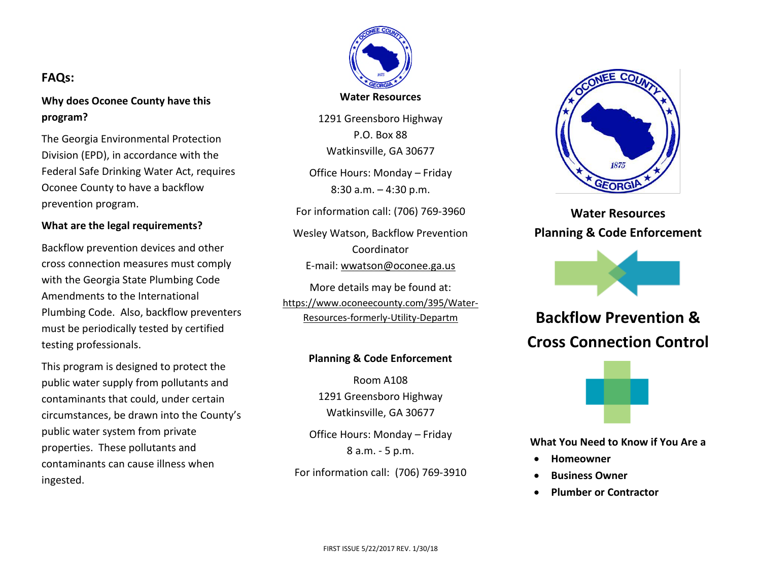**Water Resources**

1291 Greensboro Highway P.O. Box 88 Watkinsville, GA 30677

Office Hours: Monday – Friday 8:30 a.m. – 4:30 p.m.

For information call: (706) 769-3960

Wesley Watson, Backflow Prevention Coordinator E-mail: [wwatson@oconee.ga.us](mailto:wwatson@oconee.ga.us)

More details may be found at: [https://www.oconeecounty.com/395/Water-](https://www.oconeecounty.com/395/Water-Resources-formerly-Utility-Departm)[Resources-formerly-Utility-Departm](https://www.oconeecounty.com/395/Water-Resources-formerly-Utility-Departm)

## **Planning & Code Enforcement**

Room A108 1291 Greensboro Highway Watkinsville, GA 30677

Office Hours: Monday – Friday 8 a.m. - 5 p.m.

For information call: (706) 769-3910



**Water Resources Planning & Code Enforcement**



**Backflow Prevention & Cross Connection Control**



**What You Need to Know if You Are a**

- **Homeowner**
- **Business Owner**
- **Plumber or Contractor**

# **FAQs:**

**Why does Oconee County have this program?**

The Georgia Environmental Protection Division (EPD), in accordance with the Federal Safe Drinking Water Act, requires Oconee County to have a backflow prevention program.

## **What are the legal requirements?**

Backflow prevention devices and other cross connection measures must comply with the Georgia State Plumbing Code Amendments to the International Plumbing Code. Also, backflow preventers must be periodically tested by certified testing professionals.

This program is designed to protect the public water supply from pollutants and contaminants that could, under certain circumstances, be drawn into the County's public water system from private properties. These pollutants and contaminants can cause illness when ingested.